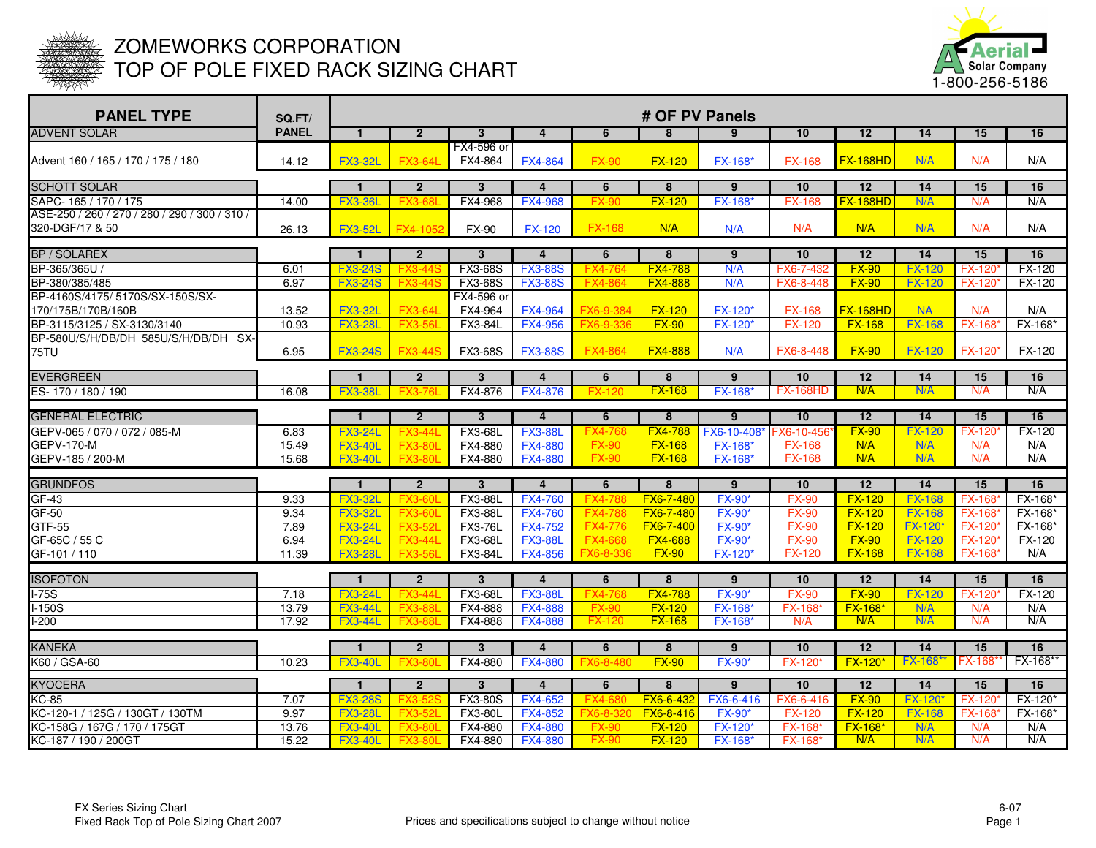

## ZOMEWORKS CORPORATION TOP OF POLE FIXED RACK SIZING CHART



| <b>PANEL TYPE</b>                                                | SQ.FT/       |                                  |                                  |                                |                                  |                           | # OF PV Panels      |                 |                 |                 |                     |                                |                     |
|------------------------------------------------------------------|--------------|----------------------------------|----------------------------------|--------------------------------|----------------------------------|---------------------------|---------------------|-----------------|-----------------|-----------------|---------------------|--------------------------------|---------------------|
| <b>ADVENT SOLAR</b>                                              | <b>PANEL</b> | $\mathbf{1}$                     | $\overline{2}$                   | $\mathbf{3}$                   | $\overline{a}$                   | 6                         | 8                   | 9               | 10              | 12              | 14                  | 15                             | 16                  |
| Advent 160 / 165 / 170 / 175 / 180                               | 14.12        | <b>FX3-32L</b>                   | <b>FX3-64L</b>                   | FX4-596 or<br>FX4-864          | <b>FX4-864</b>                   | <b>FX-90</b>              | <b>FX-120</b>       | <b>FX-168*</b>  | <b>FX-168</b>   | <b>FX-168HD</b> | N/A                 | N/A                            | N/A                 |
| <b>ISCHOTT SOLAR</b>                                             |              | $\mathbf{1}$                     | $\overline{2}$                   | $\mathbf{3}$                   | $\overline{\mathbf{4}}$          | 6                         | $\overline{8}$      | $9^{\circ}$     | 10              | 12              | 14                  | 15                             | 16                  |
| SAPC-165 / 170 / 175                                             | 14.00        | <b>FX3-36L</b>                   | <b>FX3-68</b>                    | FX4-968                        | <b>FX4-968</b>                   | <b>FX-90</b>              | <b>FX-120</b>       | <b>FX-168</b>   | <b>FX-168</b>   | <b>FX-168HD</b> | N/A                 | N/A                            | N/A                 |
| ASE-250 / 260 / 270 / 280 / 290 / 300 / 310 /<br>320-DGF/17 & 50 | 26.13        | <b>FX3-52L</b>                   | FX4-1052                         | <b>FX-90</b>                   | <b>FX-120</b>                    | <b>FX-168</b>             | N/A                 | N/A             | N/A             | N/A             | N/A                 | N/A                            | N/A                 |
|                                                                  |              |                                  |                                  |                                |                                  |                           |                     |                 |                 |                 |                     |                                |                     |
| <b>BP / SOLAREX</b><br>BP-365/365U                               | 6.01         | $\mathbf{1}$                     | $\overline{2}$                   | $\mathbf{3}$<br><b>FX3-68S</b> | $\overline{4}$                   | 6                         | 8<br><b>FX4-788</b> | 9<br>N/A        | 10<br>FX6-7-432 | 12<br>$FX-90$   | 14<br><b>FX-120</b> | 15                             | 16<br><b>FX-120</b> |
| BP-380/385/485                                                   | 6.97         | <b>FX3-24S</b><br><b>FX3-24S</b> | <b>FX3-44S</b><br><b>FX3-44S</b> | <b>FX3-68S</b>                 | <b>FX3-88S</b><br><b>FX3-88S</b> | FX4-764<br><b>FX4-864</b> | <b>FX4-888</b>      | N/A             | FX6-8-448       | $FX-90$         | <b>FX-120</b>       | <b>FX-120</b><br><b>FX-120</b> | FX-120              |
| BP-4160S/4175/ 5170S/SX-150S/SX-                                 |              |                                  |                                  | FX4-596 or                     |                                  |                           |                     |                 |                 |                 |                     |                                |                     |
| 170/175B/170B/160B                                               | 13.52        | <b>FX3-32L</b>                   | <b>FX3-64L</b>                   | FX4-964                        | <b>FX4-964</b>                   | FX6-9-384                 | <b>FX-120</b>       | FX-120*         | <b>FX-168</b>   | <b>FX-168HD</b> | <b>NA</b>           | N/A                            | N/A                 |
| BP-3115/3125 / SX-3130/3140                                      | 10.93        | <b>FX3-28L</b>                   | <b>FX3-56L</b>                   | <b>FX3-84L</b>                 | <b>FX4-956</b>                   | FX6-9-336                 | $FX-90$             | <b>FX-120*</b>  | <b>FX-120</b>   | $FX-168$        | <b>FX-168</b>       | <b>FX-168</b>                  | FX-168*             |
| BP-580U/S/H/DB/DH 585U/S/H/DB/DH SX-                             |              |                                  |                                  |                                |                                  |                           |                     |                 |                 |                 |                     |                                |                     |
| 75TU                                                             | 6.95         | <b>FX3-24S</b>                   | <b>FX3-44S</b>                   | <b>FX3-68S</b>                 | <b>FX3-88S</b>                   | <b>FX4-864</b>            | <b>FX4-888</b>      | N/A             | FX6-8-448       | <b>FX-90</b>    | <b>FX-120</b>       | FX-120*                        | FX-120              |
| <b>EVERGREEN</b>                                                 |              | $\mathbf{1}$                     | $\overline{2}$                   | $\mathbf{3}$                   | $\overline{4}$                   | 6                         | 8                   | $\overline{9}$  | 10              | 12              | 14                  | 15                             | 16                  |
| ES-170 / 180 / 190                                               | 16.08        | <b>FX3-38L</b>                   | <b>FX3-7</b>                     | FX4-876                        | <b>FX4-876</b>                   | <b>FX-12</b>              | <b>FX-168</b>       | <b>FX-168</b>   | <b>FX-168HD</b> | N/A             | N/A                 | N/A                            | N/A                 |
|                                                                  |              |                                  |                                  |                                |                                  |                           |                     |                 |                 |                 |                     |                                |                     |
| <b>GENERAL ELECTRIC</b>                                          |              | $\mathbf{1}$                     | $\overline{2}$                   | $\mathbf{3}$                   | $\overline{4}$                   | 6                         | 8                   | 9               | 10              | 12              | 14                  | 15                             | 16                  |
| GEPV-065 / 070 / 072 / 085-M                                     | 6.83         | <b>FX3-24L</b>                   | <b>FX3-44L</b>                   | <b>FX3-68L</b>                 | <b>FX3-88L</b>                   | <b>FX4-76</b>             | <b>FX4-788</b>      | FX6-10-408*     | FX6-10-456      | $FX-90$         | <b>FX-120</b>       | <b>FX-120</b>                  | $FX-120$            |
| <b>GEPV-170-M</b>                                                | 15.49        | <b>FX3-40L</b>                   | <b>FX3-80L</b>                   | FX4-880                        | <b>FX4-880</b>                   | <b>FX-90</b>              | $FX-168$            | <b>FX-168*</b>  | <b>FX-168</b>   | N/A             | N/A<br>N/A          | N/A<br>N/A                     | N/A<br>N/A          |
| GEPV-185 / 200-M                                                 | 15.68        | <b>FX3-40L</b>                   | <b>FX3-80</b>                    | FX4-880                        | <b>FX4-880</b>                   | <b>FX-90</b>              | $FX-168$            | <b>FX-168</b>   | <b>FX-168</b>   | N/A             |                     |                                |                     |
| <b>GRUNDFOS</b>                                                  |              | $\mathbf{1}$                     | $\overline{2}$                   | $\mathbf{3}$                   | $\overline{4}$                   | 6                         | 8                   | 9               | 10              | 12              | 14                  | 15                             | 16                  |
| GF-43                                                            | 9.33         | <b>FX3-32L</b>                   | <b>FX3-60</b>                    | <b>FX3-88L</b>                 | <b>FX4-760</b>                   | <b>FX4-78</b>             | FX6-7-48            | <b>FX-90</b>    | <b>FX-90</b>    | $FX-120$        | <b>FX-168</b>       | <b>FX-168</b>                  | FX-168*             |
| $GF-50$                                                          | 9.34         | <b>FX3-32L</b>                   | <b>FX3-60L</b>                   | <b>FX3-88L</b>                 | <b>FX4-760</b>                   | FX4-78                    | FX6-7-480           | <b>FX-90</b>    | <b>FX-90</b>    | $FX-120$        | <b>FX-168</b>       | <b>FX-168</b>                  | FX-168*             |
| GTF-55                                                           | 7.89         | <b>FX3-24L</b>                   | FX3-52L                          | <b>FX3-76L</b>                 | <b>FX4-752</b>                   | FX4-776                   | <b>FX6-7-400</b>    | <b>FX-90</b>    | <b>FX-90</b>    | $FX-120$        | FX-120*             | <b>FX-120</b>                  | FX-168*             |
| GF-65C / 55 C                                                    | 6.94         | <b>FX3-24L</b>                   | <b>FX3-44L</b>                   | FX3-68L                        | <b>FX3-88L</b>                   | <b>FX4-668</b>            | <b>FX4-688</b>      | <b>FX-90</b> *  | <b>FX-90</b>    | $FX-90$         | <b>FX-120</b>       | FX-120*                        | FX-120              |
| GF-101 / 110                                                     | 11.39        | <b>FX3-28L</b>                   | <b>FX3-56</b>                    | <b>FX3-84L</b>                 | <b>FX4-856</b>                   | FX6-8-33                  | $FX-90$             | <b>FX-120</b>   | <b>FX-120</b>   | <b>FX-168</b>   | <b>FX-168</b>       | <b>FX-168</b>                  | N/A                 |
| <b>ISOFOTON</b>                                                  |              | $\mathbf{1}$                     | $\overline{2}$                   | $\overline{3}$                 | $\overline{4}$                   | 6                         | $\overline{8}$      | $\overline{9}$  | 10              | 12              | 14                  | 15                             | 16                  |
| $1-75S$                                                          | 7.18         | <b>FX3-24L</b>                   | <b>FX3-44L</b>                   | <b>FX3-68L</b>                 | <b>FX3-88L</b>                   | <b>FX4-76</b>             | <b>FX4-788</b>      | <b>FX-90</b>    | <b>FX-90</b>    | $FX-90$         | <b>FX-120</b>       | <b>FX-120</b>                  | FX-120              |
| $-150S$                                                          | 13.79        | <b>FX3-44L</b>                   | <b>FX3-88L</b>                   | FX4-888                        | <b>FX4-888</b>                   | <b>FX-90</b>              | $FX-120$            | FX-168*         | <b>FX-168</b>   | <b>FX-168*</b>  | N/A                 | N/A                            | N/A                 |
| $-200$                                                           | 17.92        | <b>FX3-44L</b>                   | <b>FX3-88L</b>                   | FX4-888                        | <b>FX4-888</b>                   | <b>FX-120</b>             | <b>FX-168</b>       | <b>FX-168</b> * | N/A             | N/A             | N/A                 | N/A                            | N/A                 |
|                                                                  |              |                                  |                                  |                                |                                  |                           |                     |                 |                 |                 |                     |                                |                     |
| <b>KANEKA</b>                                                    |              | $\blacksquare$                   | $\overline{2}$                   | $\mathbf{3}$                   | $\overline{4}$                   | 6                         | 8                   | $9^{\circ}$     | 10              | 12              | 14                  | 15                             | 16                  |
| K60 / GSA-60                                                     | 10.23        | <b>FX3-40L</b>                   |                                  | FX4-880                        | <b>FX4-880</b>                   |                           | $FX-90$             | <b>FX-90</b> *  | <b>FX-120</b>   | <b>FX-120*</b>  | <b>FX-168</b>       | <b>FX-168</b>                  | FX-168**            |
| <b>KYOCERA</b>                                                   |              | $\mathbf{1}$                     | $\overline{2}$                   | $\mathbf{3}$                   | $\overline{4}$                   | 6                         | 8                   | 9               | 10              | 12              | 14                  | 15                             | 16                  |
| $KC-85$                                                          | 7.07         | <b>FX3-28S</b>                   | <b>FX3-5</b>                     | <b>FX3-80S</b>                 | <b>FX4-652</b>                   | $FX4-6$                   | FX6-6-43            | FX6-6-416       | FX6-6-416       | $FX-90$         | <b>FX-120</b> *     | <b>FX-120</b>                  | FX-120*             |
| KC-120-1 / 125G / 130GT / 130TM                                  | 9.97         | <b>FX3-28L</b>                   | <b>FX3-52L</b>                   | <b>FX3-80L</b>                 | <b>FX4-852</b>                   | FX6-8-3                   | FX6-8-416           | <b>FX-90</b> *  | <b>FX-120</b>   | $FX-120$        | <b>FX-168</b>       | <b>FX-168</b>                  | FX-168*             |
| KC-158G / 167G / 170 / 175GT                                     | 13.76        | <b>FX3-40L</b>                   | <b>FX3-80L</b>                   | FX4-880                        | <b>FX4-880</b>                   | <b>FX-90</b>              | $FX-120$            | FX-120          | <b>FX-168</b>   | <b>FX-168*</b>  | N/A                 | N/A                            | N/A                 |
| KC-187 / 190 / 200GT                                             | 15.22        | <b>FX3-40L</b>                   | <b>FX3-80L</b>                   | FX4-880                        | <b>FX4-880</b>                   | <b>FX-90</b>              | <b>FX-120</b>       | <b>FX-168</b> * | <b>FX-168*</b>  | N/A             | N/A                 | N/A                            | N/A                 |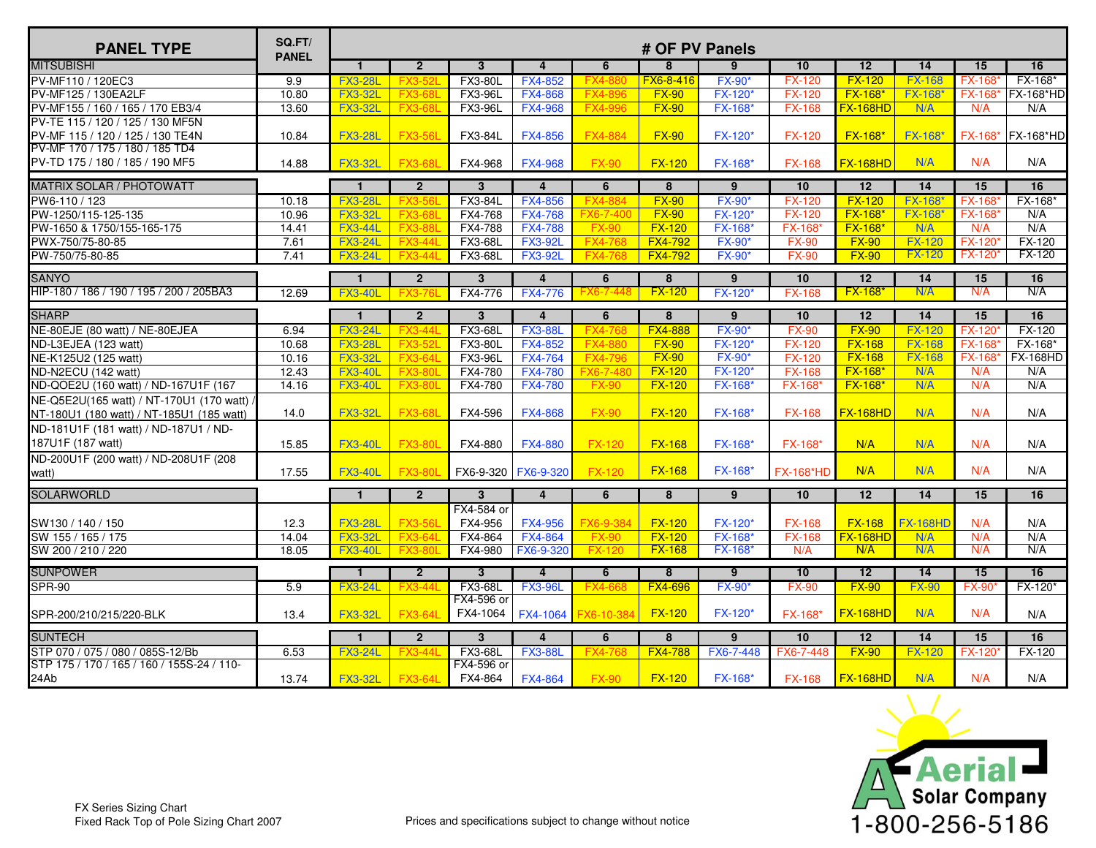| <b>PANEL TYPE</b>                          | SQ.FT/<br><b>PANEL</b> |                |                |                         |                         |                    | # OF PV Panels          |                 |                  |                 |                 |                 |                  |
|--------------------------------------------|------------------------|----------------|----------------|-------------------------|-------------------------|--------------------|-------------------------|-----------------|------------------|-----------------|-----------------|-----------------|------------------|
| <b>MITSUBISHI</b>                          |                        | $\mathbf{1}$   | $\overline{2}$ | $\overline{\mathbf{3}}$ | $\overline{4}$          | 6                  | 8                       | 9               | 10               | $\overline{12}$ | 14              | 15              | 16               |
| PV-MF110 / 120EC3                          | 9.9                    | <b>FX3-28L</b> | <b>FX3-52</b>  | <b>FX3-80L</b>          | <b>FX4-852</b>          | <b>FX4-88</b>      | FX6-8-416               | <b>FX-90</b>    | <b>FX-120</b>    | $FX-120$        | <b>FX-168</b>   | <b>FX-168</b>   | FX-168*          |
| PV-MF125 / 130EA2LF                        | 10.80                  | <b>FX3-32L</b> | <b>FX3-68L</b> | <b>FX3-96L</b>          | <b>FX4-868</b>          | <b>FX4-896</b>     | $FX-90$                 | <b>FX-120</b> * | <b>FX-120</b>    | <b>FX-168*</b>  | <b>FX-168*</b>  | <b>FX-168</b>   | <b>FX-168*HD</b> |
| PV-MF155 / 160 / 165 / 170 EB3/4           | 13.60                  | <b>FX3-32L</b> | <b>FX3-68L</b> | <b>FX3-96L</b>          | <b>FX4-968</b>          | <b>FX4-996</b>     | <b>FX-90</b>            | <b>FX-168*</b>  | <b>FX-168</b>    | <b>FX-168HD</b> | N/A             | N/A             | N/A              |
| PV-TE 115 / 120 / 125 / 130 MF5N           |                        |                |                |                         |                         |                    |                         |                 |                  |                 |                 |                 |                  |
| PV-MF 115 / 120 / 125 / 130 TE4N           | 10.84                  | <b>FX3-28L</b> | <b>FX3-56L</b> | FX3-84L                 | <b>FX4-856</b>          | <b>FX4-884</b>     | <b>FX-90</b>            | <b>FX-120*</b>  | <b>FX-120</b>    | $FX-168*$       | <b>FX-168*</b>  | FX-168*         | <b>FX-168*HD</b> |
| PV-MF 170 / 175 / 180 / 185 TD4            |                        |                |                |                         |                         |                    |                         |                 |                  |                 |                 |                 |                  |
| PV-TD 175 / 180 / 185 / 190 MF5            | 14.88                  | <b>FX3-32L</b> | <b>FX3-68L</b> | FX4-968                 | <b>FX4-968</b>          | <b>FX-90</b>       | <b>FX-120</b>           | FX-168*         | <b>FX-168</b>    | <b>FX-168HD</b> | N/A             | N/A             | N/A              |
| <b>MATRIX SOLAR / PHOTOWATT</b>            |                        | $\mathbf{1}$   | $\overline{2}$ | 3                       | $\overline{4}$          | 6                  | 8                       | 9               | 10               | 12              | 14              | 15              | 16               |
| PW6-110 / 123                              | 10.18                  | <b>FX3-28L</b> | <b>FX3-56L</b> | <b>FX3-84L</b>          | <b>FX4-856</b>          | <b>FX4-88</b>      | $FX-90$                 | <b>FX-90</b>    | <b>FX-120</b>    | $FX-120$        | <b>FX-168</b>   | <b>FX-168</b>   | FX-168*          |
| PW-1250/115-125-135                        | 10.96                  | <b>FX3-32L</b> | <b>FX3-68L</b> | FX4-768                 | <b>FX4-768</b>          | FX6-7-400          | $FX-90$                 | <b>FX-120</b>   | <b>FX-120</b>    | <b>FX-168*</b>  | FX-168*         | <b>FX-168</b>   | N/A              |
| PW-1650 & 1750/155-165-175                 | 14.41                  | <b>FX3-44L</b> | <b>FX3-88L</b> | FX4-788                 | <b>FX4-788</b>          | <b>FX-90</b>       | $FX-120$                | FX-168*         | <b>FX-168</b>    | <b>FX-168*</b>  | N/A             | N/A             | N/A              |
| PWX-750/75-80-85                           | 7.61                   | <b>FX3-24L</b> | <b>FX3-44L</b> | FX3-68L                 | <b>FX3-92L</b>          | <b>FX4-768</b>     | <b>FX4-792</b>          | <b>FX-90</b>    | <b>FX-90</b>     | $FX-90$         | $FX-120$        | <b>FX-120</b>   | <b>FX-120</b>    |
| PW-750/75-80-85                            | 7.41                   | <b>FX3-24L</b> | <b>FX3-44L</b> | <b>FX3-68L</b>          | <b>FX3-92L</b>          | <b>FX4-768</b>     | <b>FX4-792</b>          | <b>FX-90</b>    | <b>FX-90</b>     | $FX-90$         | <b>FX-120</b>   | <b>FX-120</b>   | <b>FX-120</b>    |
| <b>SANYO</b>                               |                        | $\mathbf{1}$   | $\overline{2}$ | 3                       | $\overline{4}$          | 6                  | $\overline{8}$          | $\overline{9}$  | 10               | 12              | 14              | 15              | 16               |
| HIP-180 / 186 / 190 / 195 / 200 / 205BA3   | 12.69                  | <b>FX3-40L</b> | FX3-7          | FX4-776                 | <b>FX4-776</b>          | <b>FX6-7-44</b>    | $FX-120$                | <b>FX-120</b>   | <b>FX-168</b>    | <b>FX-168</b>   | N/A             | N/A             | N/A              |
| <b>SHARP</b>                               |                        | $\mathbf{1}$   | $\overline{2}$ | $\overline{3}$          | $\overline{\mathbf{4}}$ | 6                  | $\overline{8}$          | $\overline{9}$  | 10               | 12              | 14              | 15              | 16               |
| NE-80EJE (80 watt) / NE-80EJEA             | 6.94                   | <b>FX3-24L</b> | <b>FX3-44L</b> | <b>FX3-68L</b>          | <b>FX3-88L</b>          | <b>FX4-768</b>     | <b>FX4-888</b>          | <b>FX-90</b> *  | <b>FX-90</b>     | $FX-90$         | <b>FX-120</b>   | <b>FX-120</b>   | FX-120           |
| ND-L3EJEA (123 watt)                       | 10.68                  | <b>FX3-28L</b> | <b>FX3-52L</b> | <b>FX3-80L</b>          | FX4-852                 | <b>FX4-880</b>     | $FX-90$                 | FX-120*         | <b>FX-120</b>    | <b>FX-168</b>   | <b>FX-168</b>   | FX-168'         | FX-168*          |
| NE-K125U2 (125 watt)                       | 10.16                  | <b>FX3-32L</b> | <b>FX3-64L</b> | <b>FX3-96L</b>          | <b>FX4-764</b>          | <b>FX4-796</b>     | <b>FX-90</b>            | <b>FX-90*</b>   | <b>FX-120</b>    | $FX-168$        | <b>FX-168</b>   | FX-168'         | <b>FX-168HD</b>  |
| ND-N2ECU (142 watt)                        | 12.43                  | <b>FX3-40L</b> | <b>FX3-80L</b> | FX4-780                 | <b>FX4-780</b>          | FX6-7-480          | <b>FX-120</b>           | FX-120*         | <b>FX-168</b>    | FX-168*         | N/A             | N/A             | N/A              |
| ND-QOE2U (160 watt) / ND-167U1F (167       | 14.16                  | <b>FX3-40L</b> | <b>FX3-80L</b> | FX4-780                 | <b>FX4-780</b>          | <b>FX-90</b>       | <b>FX-120</b>           | <b>FX-168</b> * | <b>FX-168</b> *  | <b>FX-168*</b>  | N/A             | N/A             | N/A              |
| NE-Q5E2U(165 watt) / NT-170U1 (170 watt)   |                        |                |                |                         |                         |                    |                         |                 |                  |                 |                 |                 |                  |
| NT-180U1 (180 watt) / NT-185U1 (185 watt)  | 14.0                   | <b>FX3-32L</b> | <b>FX3-68L</b> | FX4-596                 | <b>FX4-868</b>          | <b>FX-90</b>       | <b>FX-120</b>           | FX-168*         | <b>FX-168</b>    | <b>FX-168HD</b> | N/A             | N/A             | N/A              |
| ND-181U1F (181 watt) / ND-187U1 / ND-      |                        |                |                |                         |                         |                    |                         |                 |                  |                 |                 |                 |                  |
| 187U1F (187 watt)                          | 15.85                  | <b>FX3-40L</b> | <b>FX3-80L</b> | FX4-880                 | <b>FX4-880</b>          | <b>FX-120</b>      | <b>FX-168</b>           | <b>FX-168*</b>  | <b>FX-168*</b>   | N/A             | N/A             | N/A             | N/A              |
| ND-200U1F (200 watt) / ND-208U1F (208      |                        |                |                |                         |                         |                    |                         |                 |                  |                 |                 |                 |                  |
| watt)                                      | 17.55                  | <b>FX3-40L</b> | <b>FX3-80L</b> | FX6-9-320   FX6-9-320   |                         | <b>FX-120</b>      | <b>FX-168</b>           | <b>FX-168*</b>  | <b>FX-168*HD</b> | N/A             | N/A             | N/A             | N/A              |
| <b>SOLARWORLD</b>                          |                        | $\mathbf{1}$   | $\overline{2}$ | 3                       | $\overline{4}$          | 6                  | 8                       | 9               | 10               | 12              | 14              | 15              | 16               |
|                                            |                        |                |                | FX4-584 or              |                         |                    |                         |                 |                  |                 |                 |                 |                  |
| SW130 / 140 / 150                          | 12.3                   | <b>FX3-28L</b> | <b>FX3-56L</b> | FX4-956                 | <b>FX4-956</b>          | FX6-9-384          | <b>FX-120</b>           | <b>FX-120*</b>  | <b>FX-168</b>    | <b>FX-168</b>   | <b>FX-168HD</b> | N/A             | N/A              |
| SW 155 / 165 / 175                         | 14.04                  | <b>FX3-32L</b> | <b>FX3-64L</b> | FX4-864                 | <b>FX4-864</b>          | <b>FX-90</b>       | $FX-120$                | <b>FX-168*</b>  | <b>FX-168</b>    | <b>FX-168HD</b> | N/A             | N/A             | N/A              |
| SW 200 / 210 / 220                         | 18.05                  | <b>FX3-40L</b> | <b>FX3-80L</b> | FX4-980                 | FX6-9-320               | FX-120             | $FX-168$                | <b>FX-168</b> * | N/A              | N/A             | N/A             | N/A             | N/A              |
| <b>SUNPOWER</b>                            |                        | $\mathbf{1}$   | $\overline{2}$ | 3                       | $\overline{4}$          | 6                  | $\overline{\mathbf{8}}$ | ු               | 10               | 12              | 14              | $\overline{15}$ | <b>16</b>        |
| <b>SPR-90</b>                              | 5.9                    | <b>FX3-24L</b> | <b>FX3-44L</b> | <b>FX3-68L</b>          | <b>FX3-96L</b>          | <b>FX4-66</b>      | <b>FX4-696</b>          | <b>FX-90</b>    | <b>FX-90</b>     | $FX-90$         | <b>FX-90</b>    | <b>FX-90</b>    | FX-120*          |
|                                            |                        |                |                | FX4-596 or              |                         |                    |                         |                 |                  |                 |                 |                 |                  |
| SPR-200/210/215/220-BLK                    | 13.4                   | <b>FX3-32L</b> | <b>FX3-64L</b> | FX4-1064                |                         | FX4-1064 FX6-10-38 | $FX-120$                | <b>FX-120*</b>  | <b>FX-168</b>    | <b>FX-168HD</b> | N/A             | N/A             | N/A              |
| <b>SUNTECH</b>                             |                        | $\mathbf{1}$   | $\overline{2}$ | $\overline{3}$          | $\overline{4}$          | 6                  | $\overline{8}$          | $\overline{9}$  | 10               | 12              | 14              | 15              | 16               |
| STP 070 / 075 / 080 / 085S-12/Bb           | 6.53                   | <b>FX3-24L</b> | <b>FX3-441</b> | <b>FX3-68L</b>          | <b>FX3-88L</b>          | FX4-768            | <b>FX4-788</b>          | FX6-7-448       | FX6-7-448        | <b>FX-90</b>    | <b>FX-120</b>   | <b>FX-120</b>   | <b>FX-120</b>    |
| STP 175 / 170 / 165 / 160 / 155S-24 / 110- |                        |                |                | FX4-596 or              |                         |                    |                         |                 |                  |                 |                 |                 |                  |
| 24Ab                                       | 13.74                  | <b>FX3-32L</b> | <b>FX3-64L</b> | FX4-864                 | <b>FX4-864</b>          | <b>FX-90</b>       | <b>FX-120</b>           | FX-168*         | <b>FX-168</b>    | <b>FX-168HD</b> | N/A             | N/A             | N/A              |

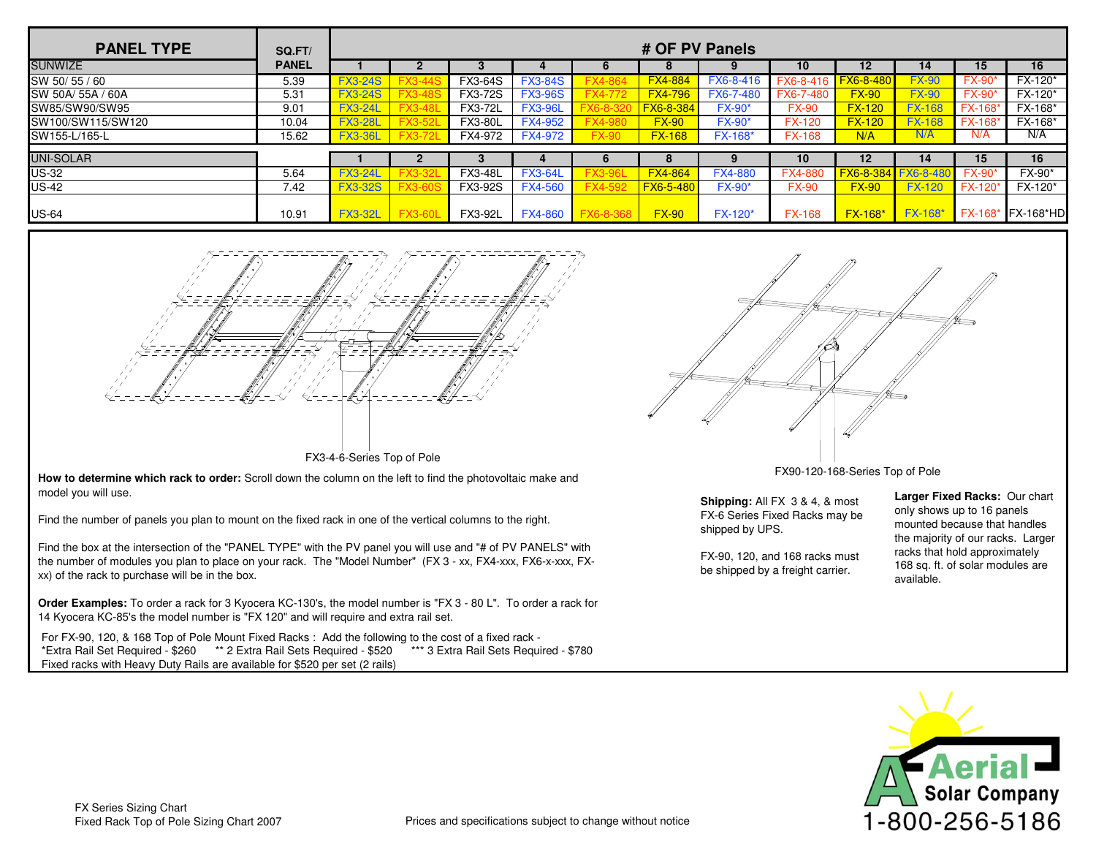| <b>PANEL TYPE</b> | SQ.FT/       |                |                |                |                |              | # OF PV Panels   |                |                |                  |                 |                |             |
|-------------------|--------------|----------------|----------------|----------------|----------------|--------------|------------------|----------------|----------------|------------------|-----------------|----------------|-------------|
| <b>SUNWIZE</b>    | <b>PANEL</b> |                |                |                |                | b            | $\bullet$        |                | 10             | $12 \,$          | 14              | 15             | 16          |
| SW 50/55/60       | 5.39         | <b>FX3-24S</b> |                | <b>FX3-64S</b> | <b>FX3-84S</b> |              | <b>FX4-884</b>   | FX6-8-416      | FX6-8-416      | <b>FX6-8-480</b> | <b>FX-90</b>    | FX-90          | FX-120*     |
| SW 50A/ 55A / 60A | 5.31         | <b>FX3-24S</b> | <b>FX3-48S</b> | <b>FX3-72S</b> | <b>FX3-96S</b> |              | <b>FX4-796</b>   | FX6-7-480      | FX6-7-480      | $FX-90$          | <b>FX-90</b>    | <b>FX-90*</b>  | FX-120*     |
| SW85/SW90/SW95    | 9.01         | <b>FX3-24L</b> | <b>FX3-48L</b> | <b>FX3-72L</b> | <b>FX3-96L</b> | $6 - 8 - 37$ | FX6-8-384        | <b>FX-90*</b>  | <b>FX-90</b>   | $FX-120$         | <b>FX-168</b>   | FX-168'        | FX-168*     |
| SW100/SW115/SW120 | 10.04        | <b>FX3-28L</b> | <b>FX3-52L</b> | <b>FX3-80L</b> | <b>FX4-952</b> |              | $FX-90$          | <b>FX-90*</b>  | <b>FX-120</b>  | $FX-120$         | <b>FX-168</b>   | <b>FX-168'</b> | FX-168*     |
| SW155-L/165-L     | 15.62        | <b>FX3-36L</b> | <b>FX3-72L</b> | FX4-972        | <b>FX4-972</b> | FX-90        | <b>FX-168</b>    | FX-168*        | <b>FX-168</b>  | N/A              | N/A             | N/A            | N/A         |
| <b>UNI-SOLAR</b>  |              |                | 2              |                |                | 6            | o                |                | 10             | 12               | 14              | 15             | 16          |
| <b>US-32</b>      | 5.64         | <b>FX3-24L</b> |                | <b>FX3-48L</b> | <b>FX3-64L</b> |              | <b>FX4-864</b>   | <b>FX4-880</b> | <b>FX4-880</b> | FX6-8-384        | <b>FX6-8-48</b> | <b>FX-90</b>   | FX-90*      |
| <b>US-42</b>      | 7.42         | <b>FX3-32S</b> |                | FX3-92S        | <b>FX4-560</b> |              | <b>FX6-5-480</b> | <b>FX-90*</b>  | <b>FX-90</b>   | $FX-90$          | <b>FX-120</b>   | <b>FX-120</b>  | FX-120*     |
| <b>US-64</b>      | 10.91        | <b>FX3-32L</b> | <b>FX3-60L</b> | FX3-92L        | <b>FX4-860</b> |              | $FX-90$          | $FX-120*$      | <b>FX-168</b>  | <b>FX-168*</b>   | <b>FX-168*</b>  | <b>FX-168*</b> | $FX-168*HD$ |



FX3-4-6-Series Top of Pole

**How to determine which rack to order:** Scroll down the column on the left to find the photovoltaic make and model you will use.

Find the number of panels you plan to mount on the fixed rack in one of the vertical columns to the right.

Find the box at the intersection of the "PANEL TYPE" with the PV panel you will use and "# of PV PANELS" with the number of modules you plan to place on your rack. The "Model Number" (FX 3 - xx, FX4-xxx, FX6-x-xxx, FXxx) of the rack to purchase will be in the box.

**Order Examples:** To order a rack for 3 Kyocera KC-130's, the model number is "FX 3 - 80 L". To order a rack for 14 Kyocera K C-85's the model number is "FX 120" and will require and extra rail set.

For FX-90, 120, & 168 Top of Pole Mount Fixed Racks : Add the following to the cost of a fixed rack - \*Extra Rail Set Required - \$260 \*\* 2 Extra Rail Sets Required - \$520 \*\*\* 3 Extra Rail Sets Required - \$780 Fixed racks with Heavy Duty Rails are available for \$520 per set (2 rails)



FX90-120-168-Series Top of Pole

**Shipping:** All FX 3 & 4, & most FX-6 Series Fixed Racks may be shipped by UPS.

FX-90, 120, and 168 racks must be shipped by a freight carrier.

**Larger Fixed Racks:** Our chart only shows up to 16 panels mounted because that handles the majority of our racks. Larger racks that hold approximately 168 sq. ft. of solar modules are available.